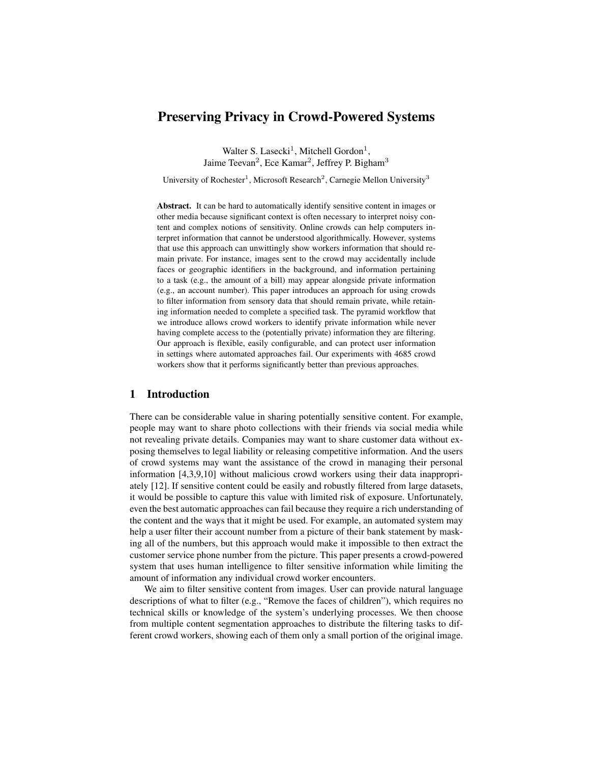# Preserving Privacy in Crowd-Powered Systems

Walter S. Lasecki<sup>1</sup>, Mitchell Gordon<sup>1</sup>, Jaime Teevan<sup>2</sup>, Ece Kamar<sup>2</sup>, Jeffrey P. Bigham<sup>3</sup>

University of Rochester<sup>1</sup>, Microsoft Research<sup>2</sup>, Carnegie Mellon University<sup>3</sup>

Abstract. It can be hard to automatically identify sensitive content in images or other media because significant context is often necessary to interpret noisy content and complex notions of sensitivity. Online crowds can help computers interpret information that cannot be understood algorithmically. However, systems that use this approach can unwittingly show workers information that should remain private. For instance, images sent to the crowd may accidentally include faces or geographic identifiers in the background, and information pertaining to a task (e.g., the amount of a bill) may appear alongside private information (e.g., an account number). This paper introduces an approach for using crowds to filter information from sensory data that should remain private, while retaining information needed to complete a specified task. The pyramid workflow that we introduce allows crowd workers to identify private information while never having complete access to the (potentially private) information they are filtering. Our approach is flexible, easily configurable, and can protect user information in settings where automated approaches fail. Our experiments with 4685 crowd workers show that it performs significantly better than previous approaches.

### 1 Introduction

There can be considerable value in sharing potentially sensitive content. For example, people may want to share photo collections with their friends via social media while not revealing private details. Companies may want to share customer data without exposing themselves to legal liability or releasing competitive information. And the users of crowd systems may want the assistance of the crowd in managing their personal information [\[4,](#page-16-0)[3,](#page-16-1)[9,](#page-16-2)[10\]](#page-16-3) without malicious crowd workers using their data inappropriately [\[12\]](#page-16-4). If sensitive content could be easily and robustly filtered from large datasets, it would be possible to capture this value with limited risk of exposure. Unfortunately, even the best automatic approaches can fail because they require a rich understanding of the content and the ways that it might be used. For example, an automated system may help a user filter their account number from a picture of their bank statement by masking all of the numbers, but this approach would make it impossible to then extract the customer service phone number from the picture. This paper presents a crowd-powered system that uses human intelligence to filter sensitive information while limiting the amount of information any individual crowd worker encounters.

We aim to filter sensitive content from images. User can provide natural language descriptions of what to filter (e.g., "Remove the faces of children"), which requires no technical skills or knowledge of the system's underlying processes. We then choose from multiple content segmentation approaches to distribute the filtering tasks to different crowd workers, showing each of them only a small portion of the original image.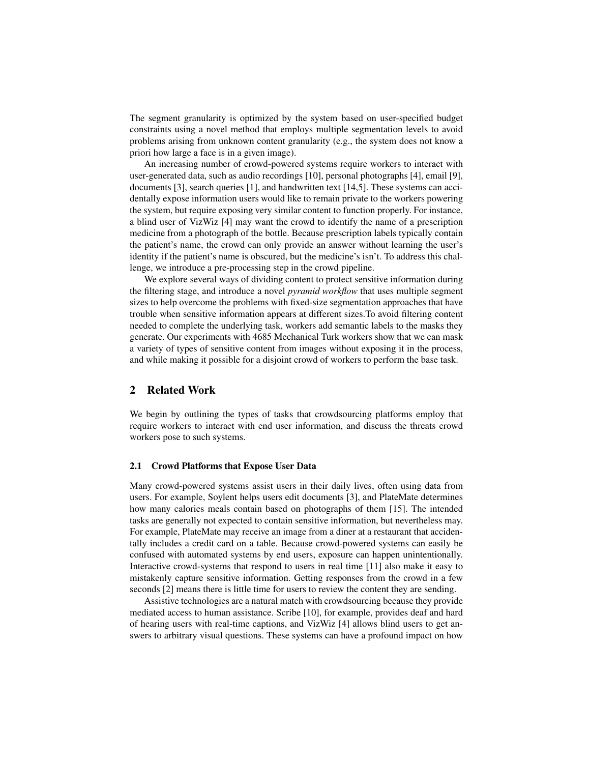The segment granularity is optimized by the system based on user-specified budget constraints using a novel method that employs multiple segmentation levels to avoid problems arising from unknown content granularity (e.g., the system does not know a priori how large a face is in a given image).

An increasing number of crowd-powered systems require workers to interact with user-generated data, such as audio recordings [\[10\]](#page-16-3), personal photographs [\[4\]](#page-16-0), email [\[9\]](#page-16-2), documents [\[3\]](#page-16-1), search queries [\[1\]](#page-16-5), and handwritten text [\[14](#page-16-6)[,5\]](#page-16-7). These systems can accidentally expose information users would like to remain private to the workers powering the system, but require exposing very similar content to function properly. For instance, a blind user of VizWiz [\[4\]](#page-16-0) may want the crowd to identify the name of a prescription medicine from a photograph of the bottle. Because prescription labels typically contain the patient's name, the crowd can only provide an answer without learning the user's identity if the patient's name is obscured, but the medicine's isn't. To address this challenge, we introduce a pre-processing step in the crowd pipeline.

We explore several ways of dividing content to protect sensitive information during the filtering stage, and introduce a novel *pyramid workflow* that uses multiple segment sizes to help overcome the problems with fixed-size segmentation approaches that have trouble when sensitive information appears at different sizes.To avoid filtering content needed to complete the underlying task, workers add semantic labels to the masks they generate. Our experiments with 4685 Mechanical Turk workers show that we can mask a variety of types of sensitive content from images without exposing it in the process, and while making it possible for a disjoint crowd of workers to perform the base task.

## 2 Related Work

We begin by outlining the types of tasks that crowdsourcing platforms employ that require workers to interact with end user information, and discuss the threats crowd workers pose to such systems.

### 2.1 Crowd Platforms that Expose User Data

Many crowd-powered systems assist users in their daily lives, often using data from users. For example, Soylent helps users edit documents [\[3\]](#page-16-1), and PlateMate determines how many calories meals contain based on photographs of them [\[15\]](#page-16-8). The intended tasks are generally not expected to contain sensitive information, but nevertheless may. For example, PlateMate may receive an image from a diner at a restaurant that accidentally includes a credit card on a table. Because crowd-powered systems can easily be confused with automated systems by end users, exposure can happen unintentionally. Interactive crowd-systems that respond to users in real time [\[11\]](#page-16-9) also make it easy to mistakenly capture sensitive information. Getting responses from the crowd in a few seconds [\[2\]](#page-16-10) means there is little time for users to review the content they are sending.

Assistive technologies are a natural match with crowdsourcing because they provide mediated access to human assistance. Scribe [\[10\]](#page-16-3), for example, provides deaf and hard of hearing users with real-time captions, and VizWiz [\[4\]](#page-16-0) allows blind users to get answers to arbitrary visual questions. These systems can have a profound impact on how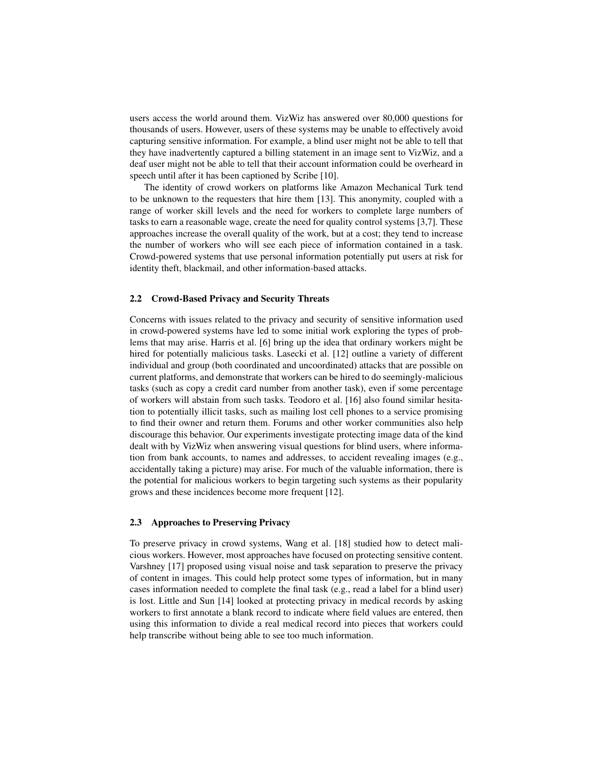users access the world around them. VizWiz has answered over 80,000 questions for thousands of users. However, users of these systems may be unable to effectively avoid capturing sensitive information. For example, a blind user might not be able to tell that they have inadvertently captured a billing statement in an image sent to VizWiz, and a deaf user might not be able to tell that their account information could be overheard in speech until after it has been captioned by Scribe [\[10\]](#page-16-3).

The identity of crowd workers on platforms like Amazon Mechanical Turk tend to be unknown to the requesters that hire them [\[13\]](#page-16-11). This anonymity, coupled with a range of worker skill levels and the need for workers to complete large numbers of tasks to earn a reasonable wage, create the need for quality control systems [\[3](#page-16-1)[,7\]](#page-16-12). These approaches increase the overall quality of the work, but at a cost; they tend to increase the number of workers who will see each piece of information contained in a task. Crowd-powered systems that use personal information potentially put users at risk for identity theft, blackmail, and other information-based attacks.

#### 2.2 Crowd-Based Privacy and Security Threats

Concerns with issues related to the privacy and security of sensitive information used in crowd-powered systems have led to some initial work exploring the types of problems that may arise. Harris et al. [\[6\]](#page-16-13) bring up the idea that ordinary workers might be hired for potentially malicious tasks. Lasecki et al. [\[12\]](#page-16-4) outline a variety of different individual and group (both coordinated and uncoordinated) attacks that are possible on current platforms, and demonstrate that workers can be hired to do seemingly-malicious tasks (such as copy a credit card number from another task), even if some percentage of workers will abstain from such tasks. Teodoro et al. [\[16\]](#page-16-14) also found similar hesitation to potentially illicit tasks, such as mailing lost cell phones to a service promising to find their owner and return them. Forums and other worker communities also help discourage this behavior. Our experiments investigate protecting image data of the kind dealt with by VizWiz when answering visual questions for blind users, where information from bank accounts, to names and addresses, to accident revealing images (e.g., accidentally taking a picture) may arise. For much of the valuable information, there is the potential for malicious workers to begin targeting such systems as their popularity grows and these incidences become more frequent [\[12\]](#page-16-4).

#### 2.3 Approaches to Preserving Privacy

To preserve privacy in crowd systems, Wang et al. [\[18\]](#page-16-15) studied how to detect malicious workers. However, most approaches have focused on protecting sensitive content. Varshney [\[17\]](#page-16-16) proposed using visual noise and task separation to preserve the privacy of content in images. This could help protect some types of information, but in many cases information needed to complete the final task (e.g., read a label for a blind user) is lost. Little and Sun [\[14\]](#page-16-6) looked at protecting privacy in medical records by asking workers to first annotate a blank record to indicate where field values are entered, then using this information to divide a real medical record into pieces that workers could help transcribe without being able to see too much information.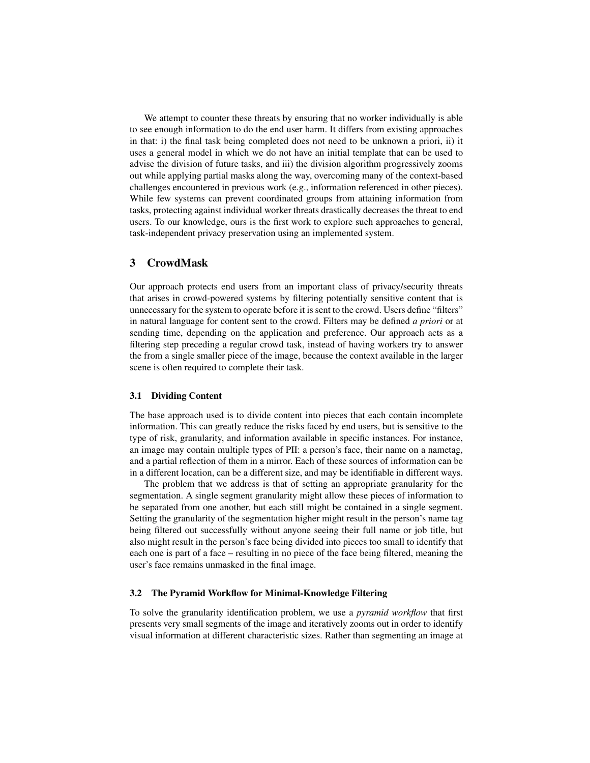We attempt to counter these threats by ensuring that no worker individually is able to see enough information to do the end user harm. It differs from existing approaches in that: i) the final task being completed does not need to be unknown a priori, ii) it uses a general model in which we do not have an initial template that can be used to advise the division of future tasks, and iii) the division algorithm progressively zooms out while applying partial masks along the way, overcoming many of the context-based challenges encountered in previous work (e.g., information referenced in other pieces). While few systems can prevent coordinated groups from attaining information from tasks, protecting against individual worker threats drastically decreases the threat to end users. To our knowledge, ours is the first work to explore such approaches to general, task-independent privacy preservation using an implemented system.

### 3 CrowdMask

Our approach protects end users from an important class of privacy/security threats that arises in crowd-powered systems by filtering potentially sensitive content that is unnecessary for the system to operate before it is sent to the crowd. Users define "filters" in natural language for content sent to the crowd. Filters may be defined *a priori* or at sending time, depending on the application and preference. Our approach acts as a filtering step preceding a regular crowd task, instead of having workers try to answer the from a single smaller piece of the image, because the context available in the larger scene is often required to complete their task.

### 3.1 Dividing Content

The base approach used is to divide content into pieces that each contain incomplete information. This can greatly reduce the risks faced by end users, but is sensitive to the type of risk, granularity, and information available in specific instances. For instance, an image may contain multiple types of PII: a person's face, their name on a nametag, and a partial reflection of them in a mirror. Each of these sources of information can be in a different location, can be a different size, and may be identifiable in different ways.

The problem that we address is that of setting an appropriate granularity for the segmentation. A single segment granularity might allow these pieces of information to be separated from one another, but each still might be contained in a single segment. Setting the granularity of the segmentation higher might result in the person's name tag being filtered out successfully without anyone seeing their full name or job title, but also might result in the person's face being divided into pieces too small to identify that each one is part of a face – resulting in no piece of the face being filtered, meaning the user's face remains unmasked in the final image.

#### 3.2 The Pyramid Workflow for Minimal-Knowledge Filtering

To solve the granularity identification problem, we use a *pyramid workflow* that first presents very small segments of the image and iteratively zooms out in order to identify visual information at different characteristic sizes. Rather than segmenting an image at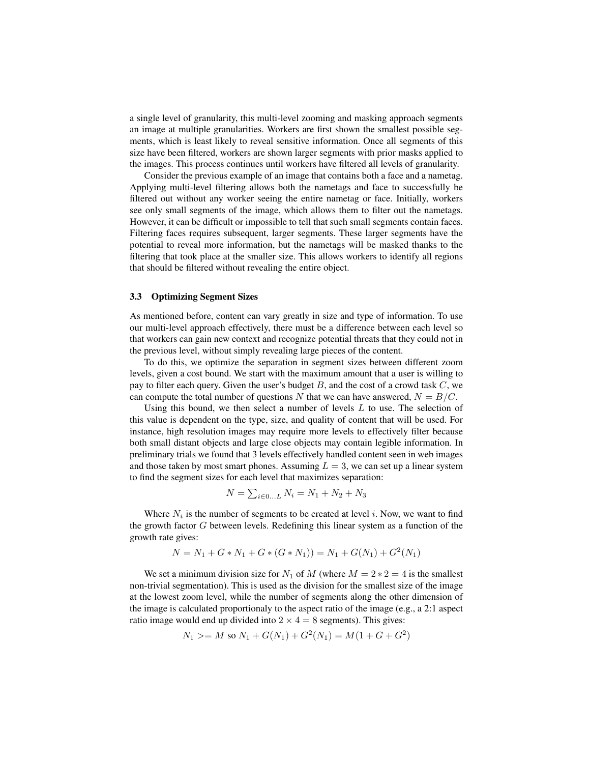a single level of granularity, this multi-level zooming and masking approach segments an image at multiple granularities. Workers are first shown the smallest possible segments, which is least likely to reveal sensitive information. Once all segments of this size have been filtered, workers are shown larger segments with prior masks applied to the images. This process continues until workers have filtered all levels of granularity.

Consider the previous example of an image that contains both a face and a nametag. Applying multi-level filtering allows both the nametags and face to successfully be filtered out without any worker seeing the entire nametag or face. Initially, workers see only small segments of the image, which allows them to filter out the nametags. However, it can be difficult or impossible to tell that such small segments contain faces. Filtering faces requires subsequent, larger segments. These larger segments have the potential to reveal more information, but the nametags will be masked thanks to the filtering that took place at the smaller size. This allows workers to identify all regions that should be filtered without revealing the entire object.

#### 3.3 Optimizing Segment Sizes

As mentioned before, content can vary greatly in size and type of information. To use our multi-level approach effectively, there must be a difference between each level so that workers can gain new context and recognize potential threats that they could not in the previous level, without simply revealing large pieces of the content.

To do this, we optimize the separation in segment sizes between different zoom levels, given a cost bound. We start with the maximum amount that a user is willing to pay to filter each query. Given the user's budget  $B$ , and the cost of a crowd task  $C$ , we can compute the total number of questions N that we can have answered,  $N = B/C$ .

Using this bound, we then select a number of levels  $L$  to use. The selection of this value is dependent on the type, size, and quality of content that will be used. For instance, high resolution images may require more levels to effectively filter because both small distant objects and large close objects may contain legible information. In preliminary trials we found that 3 levels effectively handled content seen in web images and those taken by most smart phones. Assuming  $L = 3$ , we can set up a linear system to find the segment sizes for each level that maximizes separation:

$$
N = \sum_{i \in 0...L} N_i = N_1 + N_2 + N_3
$$

Where  $N_i$  is the number of segments to be created at level i. Now, we want to find the growth factor  $G$  between levels. Redefining this linear system as a function of the growth rate gives:

$$
N = N_1 + G * N_1 + G * (G * N_1) = N_1 + G(N_1) + G^2(N_1)
$$

We set a minimum division size for  $N_1$  of M (where  $M = 2 \times 2 = 4$  is the smallest non-trivial segmentation). This is used as the division for the smallest size of the image at the lowest zoom level, while the number of segments along the other dimension of the image is calculated proportionaly to the aspect ratio of the image (e.g., a 2:1 aspect ratio image would end up divided into  $2 \times 4 = 8$  segments). This gives:

$$
N_1 \geq M \text{ so } N_1 + G(N_1) + G^2(N_1) = M(1 + G + G^2)
$$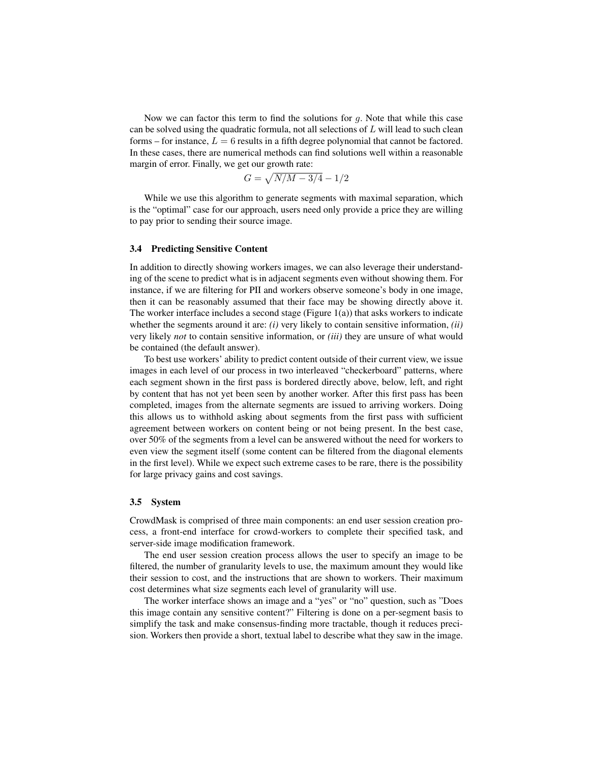Now we can factor this term to find the solutions for  $q$ . Note that while this case can be solved using the quadratic formula, not all selections of  $L$  will lead to such clean forms – for instance,  $L = 6$  results in a fifth degree polynomial that cannot be factored. In these cases, there are numerical methods can find solutions well within a reasonable margin of error. Finally, we get our growth rate:

$$
G=\sqrt{N/M-3/4}-1/2
$$

While we use this algorithm to generate segments with maximal separation, which is the "optimal" case for our approach, users need only provide a price they are willing to pay prior to sending their source image.

#### 3.4 Predicting Sensitive Content

In addition to directly showing workers images, we can also leverage their understanding of the scene to predict what is in adjacent segments even without showing them. For instance, if we are filtering for PII and workers observe someone's body in one image, then it can be reasonably assumed that their face may be showing directly above it. The worker interface includes a second stage (Figure  $1(a)$ ) that asks workers to indicate whether the segments around it are: *(i)* very likely to contain sensitive information, *(ii)* very likely *not* to contain sensitive information, or *(iii)* they are unsure of what would be contained (the default answer).

To best use workers' ability to predict content outside of their current view, we issue images in each level of our process in two interleaved "checkerboard" patterns, where each segment shown in the first pass is bordered directly above, below, left, and right by content that has not yet been seen by another worker. After this first pass has been completed, images from the alternate segments are issued to arriving workers. Doing this allows us to withhold asking about segments from the first pass with sufficient agreement between workers on content being or not being present. In the best case, over 50% of the segments from a level can be answered without the need for workers to even view the segment itself (some content can be filtered from the diagonal elements in the first level). While we expect such extreme cases to be rare, there is the possibility for large privacy gains and cost savings.

#### 3.5 System

CrowdMask is comprised of three main components: an end user session creation process, a front-end interface for crowd-workers to complete their specified task, and server-side image modification framework.

The end user session creation process allows the user to specify an image to be filtered, the number of granularity levels to use, the maximum amount they would like their session to cost, and the instructions that are shown to workers. Their maximum cost determines what size segments each level of granularity will use.

The worker interface shows an image and a "yes" or "no" question, such as "Does this image contain any sensitive content?" Filtering is done on a per-segment basis to simplify the task and make consensus-finding more tractable, though it reduces precision. Workers then provide a short, textual label to describe what they saw in the image.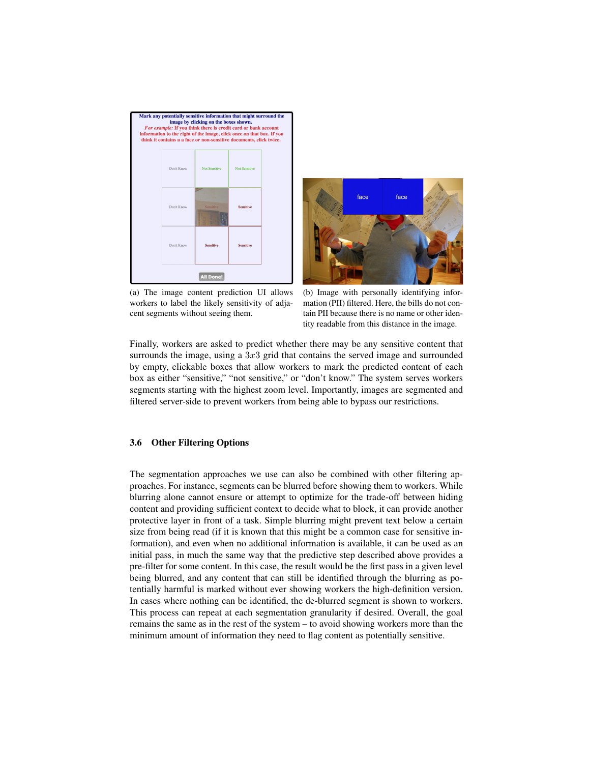<span id="page-6-0"></span>



(a) The image content prediction UI allows workers to label the likely sensitivity of adjacent segments without seeing them.

(b) Image with personally identifying information (PII) filtered. Here, the bills do not contain PII because there is no name or other identity readable from this distance in the image.

Finally, workers are asked to predict whether there may be any sensitive content that surrounds the image, using a  $3x3$  grid that contains the served image and surrounded by empty, clickable boxes that allow workers to mark the predicted content of each box as either "sensitive," "not sensitive," or "don't know." The system serves workers segments starting with the highest zoom level. Importantly, images are segmented and filtered server-side to prevent workers from being able to bypass our restrictions.

### 3.6 Other Filtering Options

The segmentation approaches we use can also be combined with other filtering approaches. For instance, segments can be blurred before showing them to workers. While blurring alone cannot ensure or attempt to optimize for the trade-off between hiding content and providing sufficient context to decide what to block, it can provide another protective layer in front of a task. Simple blurring might prevent text below a certain size from being read (if it is known that this might be a common case for sensitive information), and even when no additional information is available, it can be used as an initial pass, in much the same way that the predictive step described above provides a pre-filter for some content. In this case, the result would be the first pass in a given level being blurred, and any content that can still be identified through the blurring as potentially harmful is marked without ever showing workers the high-definition version. In cases where nothing can be identified, the de-blurred segment is shown to workers. This process can repeat at each segmentation granularity if desired. Overall, the goal remains the same as in the rest of the system – to avoid showing workers more than the minimum amount of information they need to flag content as potentially sensitive.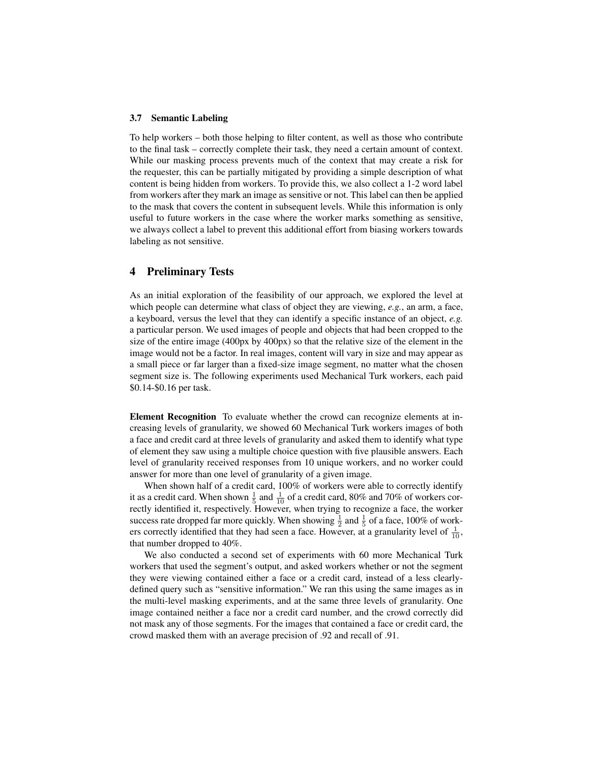#### 3.7 Semantic Labeling

To help workers – both those helping to filter content, as well as those who contribute to the final task – correctly complete their task, they need a certain amount of context. While our masking process prevents much of the context that may create a risk for the requester, this can be partially mitigated by providing a simple description of what content is being hidden from workers. To provide this, we also collect a 1-2 word label from workers after they mark an image as sensitive or not. This label can then be applied to the mask that covers the content in subsequent levels. While this information is only useful to future workers in the case where the worker marks something as sensitive, we always collect a label to prevent this additional effort from biasing workers towards labeling as not sensitive.

### 4 Preliminary Tests

As an initial exploration of the feasibility of our approach, we explored the level at which people can determine what class of object they are viewing, *e.g.*, an arm, a face, a keyboard, versus the level that they can identify a specific instance of an object, *e.g.* a particular person. We used images of people and objects that had been cropped to the size of the entire image (400px by 400px) so that the relative size of the element in the image would not be a factor. In real images, content will vary in size and may appear as a small piece or far larger than a fixed-size image segment, no matter what the chosen segment size is. The following experiments used Mechanical Turk workers, each paid \$0.14-\$0.16 per task.

Element Recognition To evaluate whether the crowd can recognize elements at increasing levels of granularity, we showed 60 Mechanical Turk workers images of both a face and credit card at three levels of granularity and asked them to identify what type of element they saw using a multiple choice question with five plausible answers. Each level of granularity received responses from 10 unique workers, and no worker could answer for more than one level of granularity of a given image.

When shown half of a credit card, 100% of workers were able to correctly identify it as a credit card. When shown  $\frac{1}{5}$  and  $\frac{1}{10}$  of a credit card, 80% and 70% of workers correctly identified it, respectively. However, when trying to recognize a face, the worker success rate dropped far more quickly. When showing  $\frac{1}{2}$  and  $\frac{1}{5}$  of a face, 100% of workers correctly identified that they had seen a face. However, at a granularity level of  $\frac{1}{10}$ , that number dropped to 40%.

We also conducted a second set of experiments with 60 more Mechanical Turk workers that used the segment's output, and asked workers whether or not the segment they were viewing contained either a face or a credit card, instead of a less clearlydefined query such as "sensitive information." We ran this using the same images as in the multi-level masking experiments, and at the same three levels of granularity. One image contained neither a face nor a credit card number, and the crowd correctly did not mask any of those segments. For the images that contained a face or credit card, the crowd masked them with an average precision of .92 and recall of .91.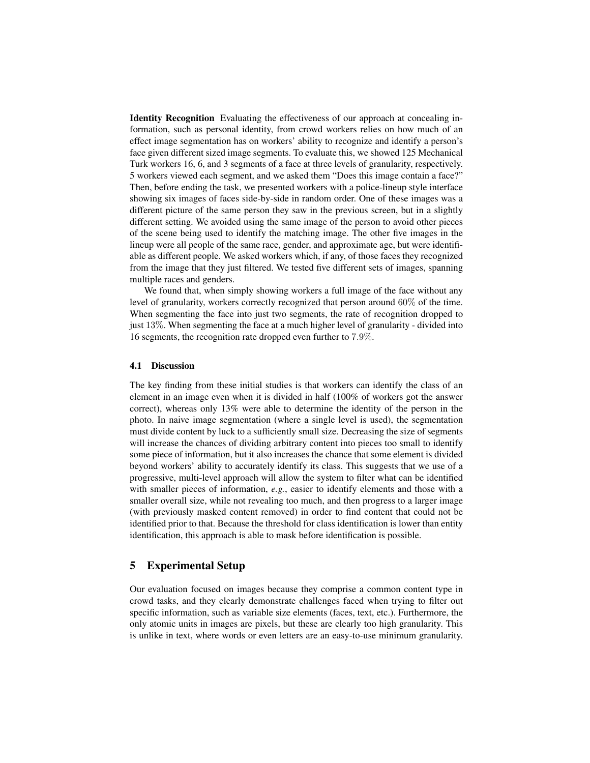Identity Recognition Evaluating the effectiveness of our approach at concealing information, such as personal identity, from crowd workers relies on how much of an effect image segmentation has on workers' ability to recognize and identify a person's face given different sized image segments. To evaluate this, we showed 125 Mechanical Turk workers 16, 6, and 3 segments of a face at three levels of granularity, respectively. 5 workers viewed each segment, and we asked them "Does this image contain a face?" Then, before ending the task, we presented workers with a police-lineup style interface showing six images of faces side-by-side in random order. One of these images was a different picture of the same person they saw in the previous screen, but in a slightly different setting. We avoided using the same image of the person to avoid other pieces of the scene being used to identify the matching image. The other five images in the lineup were all people of the same race, gender, and approximate age, but were identifiable as different people. We asked workers which, if any, of those faces they recognized from the image that they just filtered. We tested five different sets of images, spanning multiple races and genders.

We found that, when simply showing workers a full image of the face without any level of granularity, workers correctly recognized that person around 60% of the time. When segmenting the face into just two segments, the rate of recognition dropped to just 13%. When segmenting the face at a much higher level of granularity - divided into 16 segments, the recognition rate dropped even further to 7.9%.

#### 4.1 Discussion

The key finding from these initial studies is that workers can identify the class of an element in an image even when it is divided in half (100% of workers got the answer correct), whereas only 13% were able to determine the identity of the person in the photo. In naive image segmentation (where a single level is used), the segmentation must divide content by luck to a sufficiently small size. Decreasing the size of segments will increase the chances of dividing arbitrary content into pieces too small to identify some piece of information, but it also increases the chance that some element is divided beyond workers' ability to accurately identify its class. This suggests that we use of a progressive, multi-level approach will allow the system to filter what can be identified with smaller pieces of information, *e.g.*, easier to identify elements and those with a smaller overall size, while not revealing too much, and then progress to a larger image (with previously masked content removed) in order to find content that could not be identified prior to that. Because the threshold for class identification is lower than entity identification, this approach is able to mask before identification is possible.

### 5 Experimental Setup

Our evaluation focused on images because they comprise a common content type in crowd tasks, and they clearly demonstrate challenges faced when trying to filter out specific information, such as variable size elements (faces, text, etc.). Furthermore, the only atomic units in images are pixels, but these are clearly too high granularity. This is unlike in text, where words or even letters are an easy-to-use minimum granularity.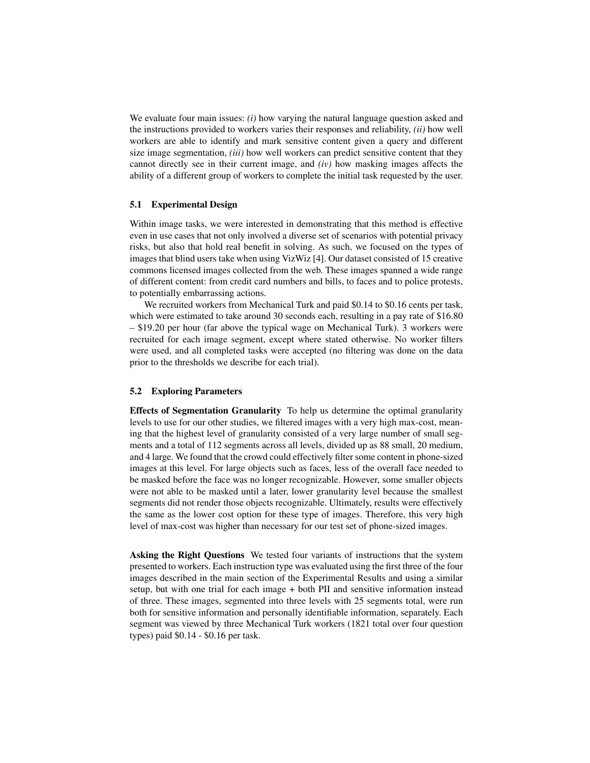We evaluate four main issues: *(i)* how varying the natural language question asked and the instructions provided to workers varies their responses and reliability, *(ii)* how well workers are able to identify and mark sensitive content given a query and different size image segmentation, *(iii)* how well workers can predict sensitive content that they cannot directly see in their current image, and *(iv)* how masking images affects the ability of a different group of workers to complete the initial task requested by the user.

#### 5.1 Experimental Design

Within image tasks, we were interested in demonstrating that this method is effective even in use cases that not only involved a diverse set of scenarios with potential privacy risks, but also that hold real benefit in solving. As such, we focused on the types of images that blind users take when using VizWiz [\[4\]](#page-16-0). Our dataset consisted of 15 creative commons licensed images collected from the web. These images spanned a wide range of different content: from credit card numbers and bills, to faces and to police protests, to potentially embarrassing actions.

We recruited workers from Mechanical Turk and paid \$0.14 to \$0.16 cents per task, which were estimated to take around 30 seconds each, resulting in a pay rate of \$16.80 – \$19.20 per hour (far above the typical wage on Mechanical Turk). 3 workers were recruited for each image segment, except where stated otherwise. No worker filters were used, and all completed tasks were accepted (no filtering was done on the data prior to the thresholds we describe for each trial).

#### 5.2 Exploring Parameters

Effects of Segmentation Granularity To help us determine the optimal granularity levels to use for our other studies, we filtered images with a very high max-cost, meaning that the highest level of granularity consisted of a very large number of small segments and a total of 112 segments across all levels, divided up as 88 small, 20 medium, and 4 large. We found that the crowd could effectively filter some content in phone-sized images at this level. For large objects such as faces, less of the overall face needed to be masked before the face was no longer recognizable. However, some smaller objects were not able to be masked until a later, lower granularity level because the smallest segments did not render those objects recognizable. Ultimately, results were effectively the same as the lower cost option for these type of images. Therefore, this very high level of max-cost was higher than necessary for our test set of phone-sized images.

Asking the Right Questions We tested four variants of instructions that the system presented to workers. Each instruction type was evaluated using the first three of the four images described in the main section of the Experimental Results and using a similar setup, but with one trial for each image + both PII and sensitive information instead of three. These images, segmented into three levels with 25 segments total, were run both for sensitive information and personally identifiable information, separately. Each segment was viewed by three Mechanical Turk workers (1821 total over four question types) paid \$0.14 - \$0.16 per task.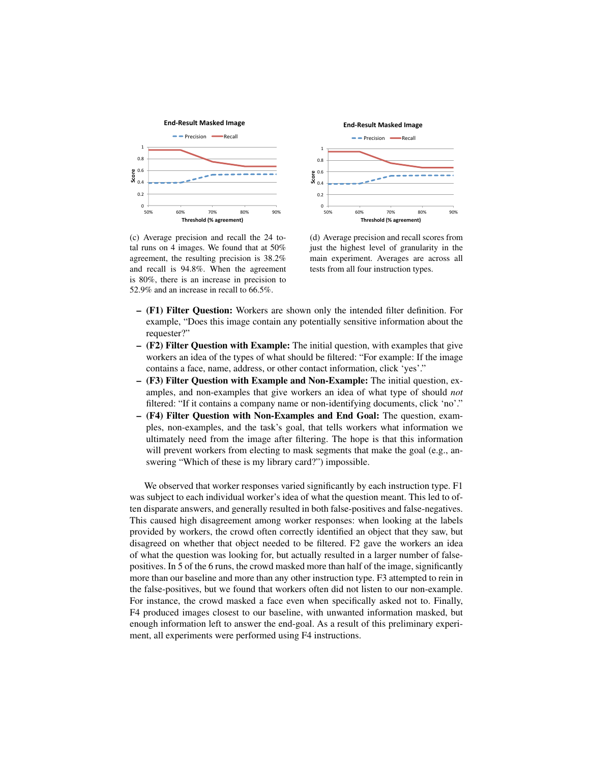<span id="page-10-0"></span>

(c) Average precision and recall the 24 total runs on 4 images. We found that at 50% agreement, the resulting precision is 38.2% and recall is 94.8%. When the agreement is 80%, there is an increase in precision to 52.9% and an increase in recall to 66.5%.



<span id="page-10-1"></span>(d) Average precision and recall scores from just the highest level of granularity in the main experiment. Averages are across all tests from all four instruction types.

- (F1) Filter Question: Workers are shown only the intended filter definition. For example, "Does this image contain any potentially sensitive information about the requester?"
- (F2) Filter Question with Example: The initial question, with examples that give workers an idea of the types of what should be filtered: "For example: If the image contains a face, name, address, or other contact information, click 'yes'."
- (F3) Filter Question with Example and Non-Example: The initial question, examples, and non-examples that give workers an idea of what type of should *not* filtered: "If it contains a company name or non-identifying documents, click 'no'."
- (F4) Filter Question with Non-Examples and End Goal: The question, examples, non-examples, and the task's goal, that tells workers what information we ultimately need from the image after filtering. The hope is that this information will prevent workers from electing to mask segments that make the goal (e.g., answering "Which of these is my library card?") impossible.

We observed that worker responses varied significantly by each instruction type. F1 was subject to each individual worker's idea of what the question meant. This led to often disparate answers, and generally resulted in both false-positives and false-negatives. This caused high disagreement among worker responses: when looking at the labels provided by workers, the crowd often correctly identified an object that they saw, but disagreed on whether that object needed to be filtered. F2 gave the workers an idea of what the question was looking for, but actually resulted in a larger number of falsepositives. In 5 of the 6 runs, the crowd masked more than half of the image, significantly more than our baseline and more than any other instruction type. F3 attempted to rein in the false-positives, but we found that workers often did not listen to our non-example. For instance, the crowd masked a face even when specifically asked not to. Finally, F4 produced images closest to our baseline, with unwanted information masked, but enough information left to answer the end-goal. As a result of this preliminary experiment, all experiments were performed using F4 instructions.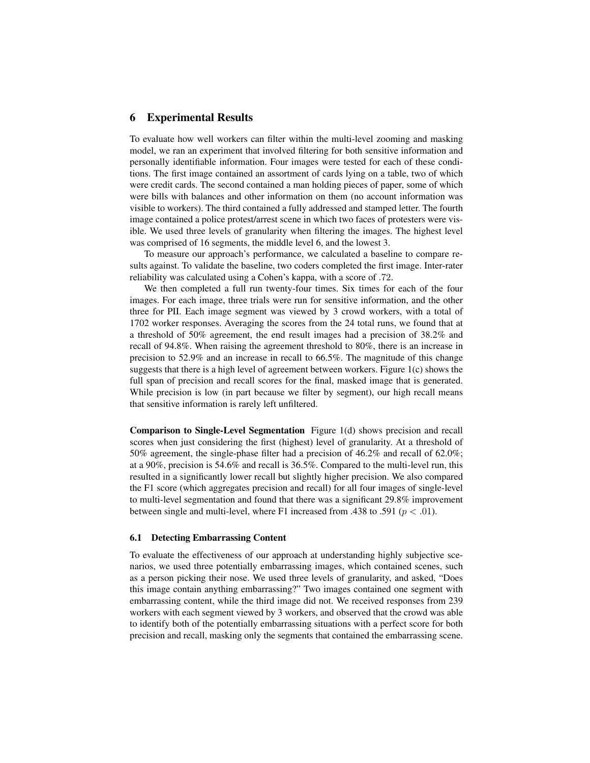### 6 Experimental Results

To evaluate how well workers can filter within the multi-level zooming and masking model, we ran an experiment that involved filtering for both sensitive information and personally identifiable information. Four images were tested for each of these conditions. The first image contained an assortment of cards lying on a table, two of which were credit cards. The second contained a man holding pieces of paper, some of which were bills with balances and other information on them (no account information was visible to workers). The third contained a fully addressed and stamped letter. The fourth image contained a police protest/arrest scene in which two faces of protesters were visible. We used three levels of granularity when filtering the images. The highest level was comprised of 16 segments, the middle level 6, and the lowest 3.

To measure our approach's performance, we calculated a baseline to compare results against. To validate the baseline, two coders completed the first image. Inter-rater reliability was calculated using a Cohen's kappa, with a score of .72.

We then completed a full run twenty-four times. Six times for each of the four images. For each image, three trials were run for sensitive information, and the other three for PII. Each image segment was viewed by 3 crowd workers, with a total of 1702 worker responses. Averaging the scores from the 24 total runs, we found that at a threshold of 50% agreement, the end result images had a precision of 38.2% and recall of 94.8%. When raising the agreement threshold to 80%, there is an increase in precision to 52.9% and an increase in recall to 66.5%. The magnitude of this change suggests that there is a high level of agreement between workers. Figure [1\(c\)](#page-10-0) shows the full span of precision and recall scores for the final, masked image that is generated. While precision is low (in part because we filter by segment), our high recall means that sensitive information is rarely left unfiltered.

Comparison to Single-Level Segmentation Figure [1\(d\)](#page-10-1) shows precision and recall scores when just considering the first (highest) level of granularity. At a threshold of 50% agreement, the single-phase filter had a precision of 46.2% and recall of 62.0%; at a 90%, precision is 54.6% and recall is 36.5%. Compared to the multi-level run, this resulted in a significantly lower recall but slightly higher precision. We also compared the F1 score (which aggregates precision and recall) for all four images of single-level to multi-level segmentation and found that there was a significant 29.8% improvement between single and multi-level, where F1 increased from .438 to .591 ( $p < .01$ ).

#### 6.1 Detecting Embarrassing Content

To evaluate the effectiveness of our approach at understanding highly subjective scenarios, we used three potentially embarrassing images, which contained scenes, such as a person picking their nose. We used three levels of granularity, and asked, "Does this image contain anything embarrassing?" Two images contained one segment with embarrassing content, while the third image did not. We received responses from 239 workers with each segment viewed by 3 workers, and observed that the crowd was able to identify both of the potentially embarrassing situations with a perfect score for both precision and recall, masking only the segments that contained the embarrassing scene.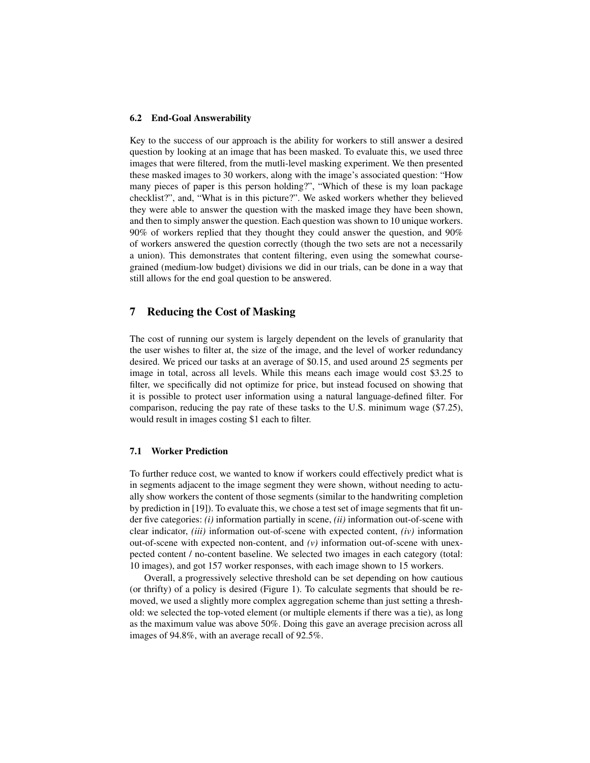#### 6.2 End-Goal Answerability

Key to the success of our approach is the ability for workers to still answer a desired question by looking at an image that has been masked. To evaluate this, we used three images that were filtered, from the mutli-level masking experiment. We then presented these masked images to 30 workers, along with the image's associated question: "How many pieces of paper is this person holding?", "Which of these is my loan package checklist?", and, "What is in this picture?". We asked workers whether they believed they were able to answer the question with the masked image they have been shown, and then to simply answer the question. Each question was shown to 10 unique workers. 90% of workers replied that they thought they could answer the question, and 90% of workers answered the question correctly (though the two sets are not a necessarily a union). This demonstrates that content filtering, even using the somewhat coursegrained (medium-low budget) divisions we did in our trials, can be done in a way that still allows for the end goal question to be answered.

# 7 Reducing the Cost of Masking

The cost of running our system is largely dependent on the levels of granularity that the user wishes to filter at, the size of the image, and the level of worker redundancy desired. We priced our tasks at an average of \$0.15, and used around 25 segments per image in total, across all levels. While this means each image would cost \$3.25 to filter, we specifically did not optimize for price, but instead focused on showing that it is possible to protect user information using a natural language-defined filter. For comparison, reducing the pay rate of these tasks to the U.S. minimum wage (\$7.25), would result in images costing \$1 each to filter.

### 7.1 Worker Prediction

To further reduce cost, we wanted to know if workers could effectively predict what is in segments adjacent to the image segment they were shown, without needing to actually show workers the content of those segments (similar to the handwriting completion by prediction in [\[19\]](#page-16-17)). To evaluate this, we chose a test set of image segments that fit under five categories: *(i)* information partially in scene, *(ii)* information out-of-scene with clear indicator, *(iii)* information out-of-scene with expected content, *(iv)* information out-of-scene with expected non-content, and *(v)* information out-of-scene with unexpected content / no-content baseline. We selected two images in each category (total: 10 images), and got 157 worker responses, with each image shown to 15 workers.

Overall, a progressively selective threshold can be set depending on how cautious (or thrifty) of a policy is desired (Figure [1\)](#page-13-0). To calculate segments that should be removed, we used a slightly more complex aggregation scheme than just setting a threshold: we selected the top-voted element (or multiple elements if there was a tie), as long as the maximum value was above 50%. Doing this gave an average precision across all images of 94.8%, with an average recall of 92.5%.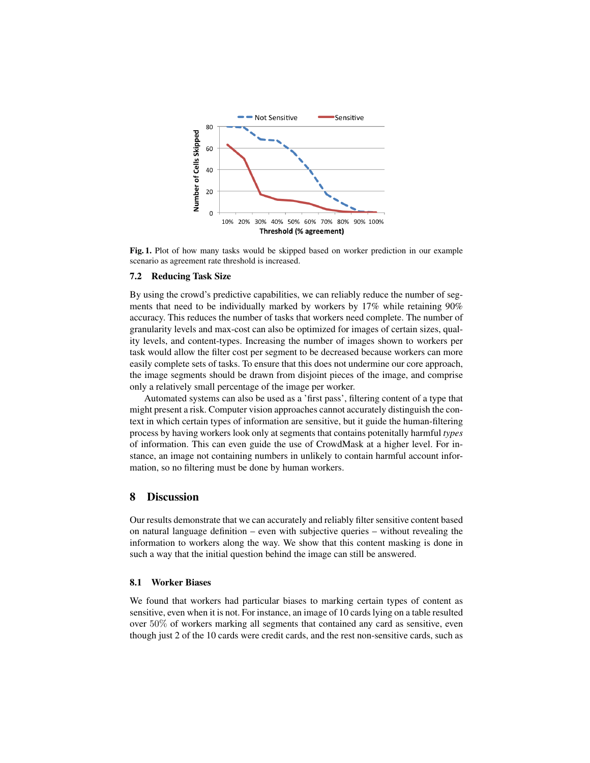

<span id="page-13-0"></span>Fig. 1. Plot of how many tasks would be skipped based on worker prediction in our example scenario as agreement rate threshold is increased.

### 7.2 Reducing Task Size

By using the crowd's predictive capabilities, we can reliably reduce the number of segments that need to be individually marked by workers by 17% while retaining 90% accuracy. This reduces the number of tasks that workers need complete. The number of granularity levels and max-cost can also be optimized for images of certain sizes, quality levels, and content-types. Increasing the number of images shown to workers per task would allow the filter cost per segment to be decreased because workers can more easily complete sets of tasks. To ensure that this does not undermine our core approach, the image segments should be drawn from disjoint pieces of the image, and comprise only a relatively small percentage of the image per worker.

Automated systems can also be used as a 'first pass', filtering content of a type that might present a risk. Computer vision approaches cannot accurately distinguish the context in which certain types of information are sensitive, but it guide the human-filtering process by having workers look only at segments that contains potenitally harmful *types* of information. This can even guide the use of CrowdMask at a higher level. For instance, an image not containing numbers in unlikely to contain harmful account information, so no filtering must be done by human workers.

### 8 Discussion

Our results demonstrate that we can accurately and reliably filter sensitive content based on natural language definition – even with subjective queries – without revealing the information to workers along the way. We show that this content masking is done in such a way that the initial question behind the image can still be answered.

#### 8.1 Worker Biases

We found that workers had particular biases to marking certain types of content as sensitive, even when it is not. For instance, an image of 10 cards lying on a table resulted over 50% of workers marking all segments that contained any card as sensitive, even though just 2 of the 10 cards were credit cards, and the rest non-sensitive cards, such as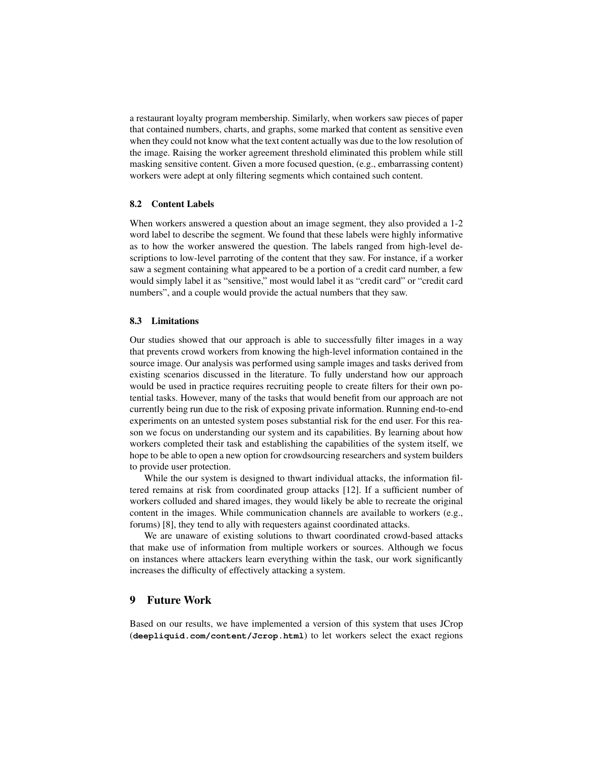a restaurant loyalty program membership. Similarly, when workers saw pieces of paper that contained numbers, charts, and graphs, some marked that content as sensitive even when they could not know what the text content actually was due to the low resolution of the image. Raising the worker agreement threshold eliminated this problem while still masking sensitive content. Given a more focused question, (e.g., embarrassing content) workers were adept at only filtering segments which contained such content.

#### 8.2 Content Labels

When workers answered a question about an image segment, they also provided a 1-2 word label to describe the segment. We found that these labels were highly informative as to how the worker answered the question. The labels ranged from high-level descriptions to low-level parroting of the content that they saw. For instance, if a worker saw a segment containing what appeared to be a portion of a credit card number, a few would simply label it as "sensitive," most would label it as "credit card" or "credit card numbers", and a couple would provide the actual numbers that they saw.

#### 8.3 Limitations

Our studies showed that our approach is able to successfully filter images in a way that prevents crowd workers from knowing the high-level information contained in the source image. Our analysis was performed using sample images and tasks derived from existing scenarios discussed in the literature. To fully understand how our approach would be used in practice requires recruiting people to create filters for their own potential tasks. However, many of the tasks that would benefit from our approach are not currently being run due to the risk of exposing private information. Running end-to-end experiments on an untested system poses substantial risk for the end user. For this reason we focus on understanding our system and its capabilities. By learning about how workers completed their task and establishing the capabilities of the system itself, we hope to be able to open a new option for crowdsourcing researchers and system builders to provide user protection.

While the our system is designed to thwart individual attacks, the information filtered remains at risk from coordinated group attacks [\[12\]](#page-16-4). If a sufficient number of workers colluded and shared images, they would likely be able to recreate the original content in the images. While communication channels are available to workers (e.g., forums) [\[8\]](#page-16-18), they tend to ally with requesters against coordinated attacks.

We are unaware of existing solutions to thwart coordinated crowd-based attacks that make use of information from multiple workers or sources. Although we focus on instances where attackers learn everything within the task, our work significantly increases the difficulty of effectively attacking a system.

### 9 Future Work

Based on our results, we have implemented a version of this system that uses JCrop (**<deepliquid.com/content/Jcrop.html>**) to let workers select the exact regions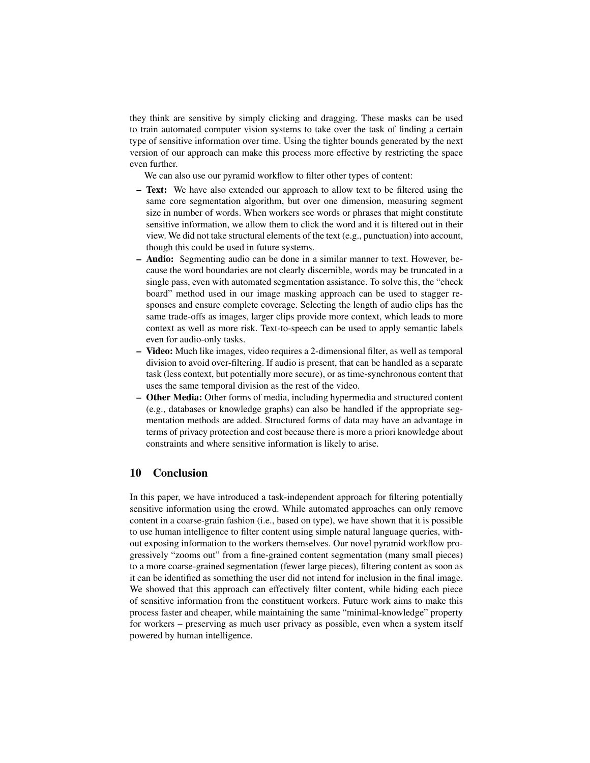they think are sensitive by simply clicking and dragging. These masks can be used to train automated computer vision systems to take over the task of finding a certain type of sensitive information over time. Using the tighter bounds generated by the next version of our approach can make this process more effective by restricting the space even further.

We can also use our pyramid workflow to filter other types of content:

- Text: We have also extended our approach to allow text to be filtered using the same core segmentation algorithm, but over one dimension, measuring segment size in number of words. When workers see words or phrases that might constitute sensitive information, we allow them to click the word and it is filtered out in their view. We did not take structural elements of the text (e.g., punctuation) into account, though this could be used in future systems.
- Audio: Segmenting audio can be done in a similar manner to text. However, because the word boundaries are not clearly discernible, words may be truncated in a single pass, even with automated segmentation assistance. To solve this, the "check board" method used in our image masking approach can be used to stagger responses and ensure complete coverage. Selecting the length of audio clips has the same trade-offs as images, larger clips provide more context, which leads to more context as well as more risk. Text-to-speech can be used to apply semantic labels even for audio-only tasks.
- Video: Much like images, video requires a 2-dimensional filter, as well as temporal division to avoid over-filtering. If audio is present, that can be handled as a separate task (less context, but potentially more secure), or as time-synchronous content that uses the same temporal division as the rest of the video.
- Other Media: Other forms of media, including hypermedia and structured content (e.g., databases or knowledge graphs) can also be handled if the appropriate segmentation methods are added. Structured forms of data may have an advantage in terms of privacy protection and cost because there is more a priori knowledge about constraints and where sensitive information is likely to arise.

### 10 Conclusion

In this paper, we have introduced a task-independent approach for filtering potentially sensitive information using the crowd. While automated approaches can only remove content in a coarse-grain fashion (i.e., based on type), we have shown that it is possible to use human intelligence to filter content using simple natural language queries, without exposing information to the workers themselves. Our novel pyramid workflow progressively "zooms out" from a fine-grained content segmentation (many small pieces) to a more coarse-grained segmentation (fewer large pieces), filtering content as soon as it can be identified as something the user did not intend for inclusion in the final image. We showed that this approach can effectively filter content, while hiding each piece of sensitive information from the constituent workers. Future work aims to make this process faster and cheaper, while maintaining the same "minimal-knowledge" property for workers – preserving as much user privacy as possible, even when a system itself powered by human intelligence.